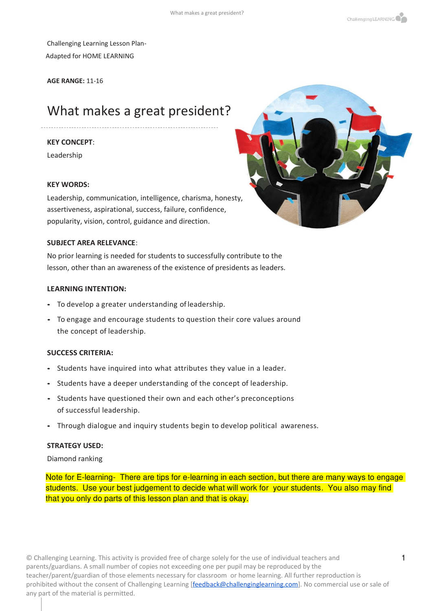Challenging Learning Lesson Plan-Adapted for HOME LEARNING

**AGE RANGE:** 11-16

# What makes a great president?

#### **KEY CONCEPT**:

Leadership

#### **KEY WORDS:**

Leadership, communication, intelligence, charisma, honesty, assertiveness, aspirational, success, failure, confidence, popularity, vision, control, guidance and direction.

#### **SUBJECT AREA RELEVANCE**:

No prior learning is needed for students to successfully contribute to the lesson, other than an awareness of the existence of presidents as leaders.

#### **LEARNING INTENTION:**

- To develop a greater understanding of leadership.
- To engage and encourage students to question their core values around the concept of leadership.

#### **SUCCESS CRITERIA:**

- Students have inquired into what attributes they value in a leader.
- Students have a deeper understanding of the concept of leadership.
- Students have questioned their own and each other's preconceptions of successful leadership.
- Through dialogue and inquiry students begin to develop political awareness.

#### **STRATEGY USED:**

Diamond ranking

Note for E-learning- There are tips for e-learning in each section, but there are many ways to engage students. Use your best judgement to decide what will work for your students. You also may find that you only do parts of this lesson plan and that is okay.

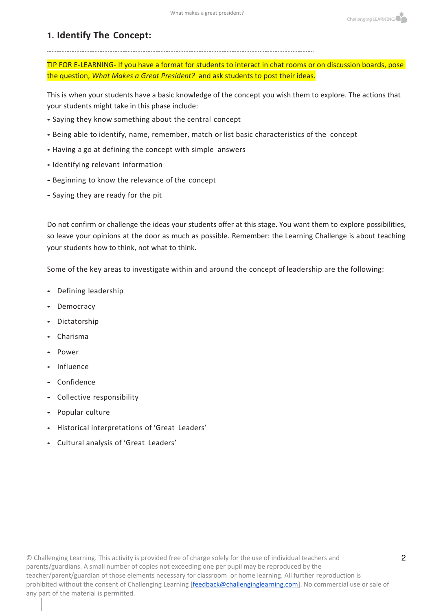#### **1. Identify The Concept:**

TIP FOR E-LEARNING- If you have a format for students to interact in chat rooms or on discussion boards, pose the question, *What Makes a Great President?* and ask students to post their ideas.

This is when your students have a basic knowledge of the concept you wish them to explore. The actions that your students might take in this phase include:

- Saying they know something about the central concept
- Being able to identify, name, remember, match or list basic characteristics of the concept
- Having a go at defining the concept with simple answers
- Identifying relevant information
- Beginning to know the relevance of the concept
- Saying they are ready for the pit

Do not confirm or challenge the ideas your students offer at this stage. You want them to explore possibilities, so leave your opinions at the door as much as possible. Remember: the Learning Challenge is about teaching your students how to think, not what to think.

Some of the key areas to investigate within and around the concept of leadership are the following:

- Defining leadership
- Democracy
- Dictatorship
- Charisma
- Power
- Influence
- Confidence
- Collective responsibility
- Popular culture
- Historical interpretations of 'Great Leaders'
- Cultural analysis of 'Great Leaders'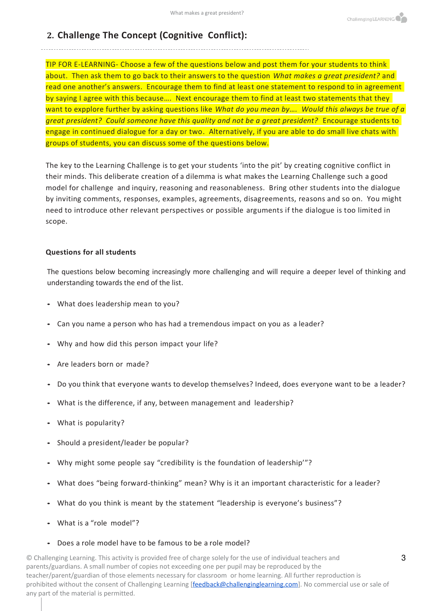#### **2. Challenge The Concept (Cognitive Conflict):**

TIP FOR E-LEARNING- Choose a few of the questions below and post them for your students to think about. Then ask them to go back to their answers to the question *What makes a great president?* and read one another's answers. Encourage them to find at least one statement to respond to in agreement by saying I agree with this because.... Next encourage them to find at least two statements that they want to expplore further by asking questions like *What do you mean by…. Would this always be true of a great president? Could someone have this quality and not be a great president?* Encourage students to engage in continued dialogue for a day or two. Alternatively, if you are able to do small live chats with groups of students, you can discuss some of the questions below.

The key to the Learning Challenge is to get your students 'into the pit' by creating cognitive conflict in their minds. This deliberate creation of a dilemma is what makes the Learning Challenge such a good model for challenge and inquiry, reasoning and reasonableness. Bring other students into the dialogue by inviting comments, responses, examples, agreements, disagreements, reasons and so on. You might need to introduce other relevant perspectives or possible arguments if the dialogue is too limited in scope.

#### **Questions for all students**

The questions below becoming increasingly more challenging and will require a deeper level of thinking and understanding towards the end of the list.

- What does leadership mean to you?
- Can you name a person who has had a tremendous impact on you as a leader?
- Why and how did this person impact your life?
- Are leaders born or made?
- Do you think that everyone wants to develop themselves? Indeed, does everyone want to be a leader?
- What is the difference, if any, between management and leadership?
- What is popularity?
- Should a president/leader be popular?
- Why might some people say "credibility is the foundation of leadership'"?
- What does "being forward-thinking" mean? Why is it an important characteristic for a leader?
- What do you think is meant by the statement "leadership is everyone's business"?
- What is a "role model"?
- Does a role model have to be famous to be a role model?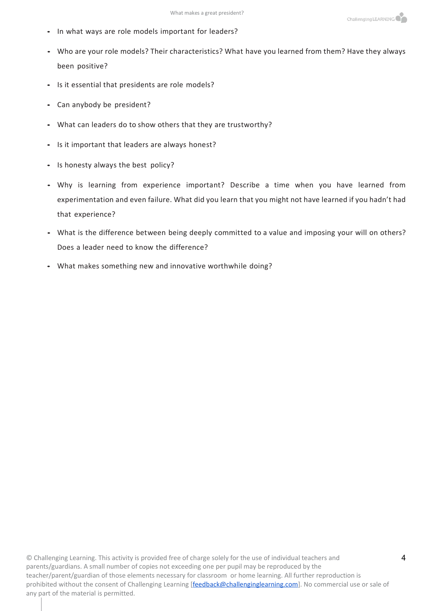- In what ways are role models important for leaders?
- Who are your role models? Their characteristics? What have you learned from them? Have they always been positive?
- Is it essential that presidents are role models?
- Can anybody be president?
- What can leaders do to show others that they are trustworthy?
- Is it important that leaders are always honest?
- Is honesty always the best policy?
- Why is learning from experience important? Describe a time when you have learned from experimentation and even failure. What did you learn that you might not have learned if you hadn't had that experience?
- What is the difference between being deeply committed to a value and imposing your will on others? Does a leader need to know the difference?
- What makes something new and innovative worthwhile doing?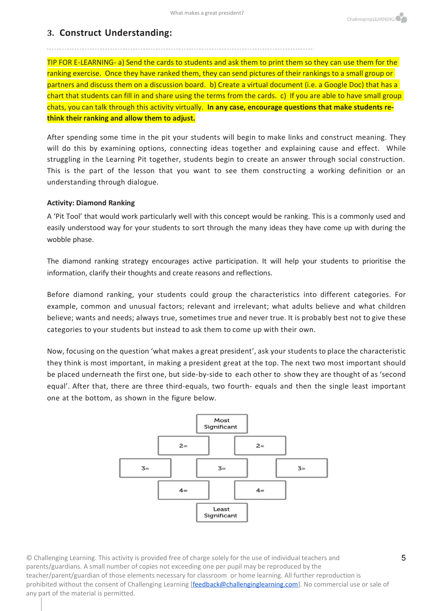#### **3. Construct Understanding:**

TIP FOR E-LEARNING- a) Send the cards to students and ask them to print them so they can use them for the ranking exercise. Once they have ranked them, they can send pictures of their rankings to a small group or partners and discuss them on a discussion board. b) Create a virtual document (i.e. a Google Doc) that has a chart that students can fill in and share using the terms from the cards. c) If you are able to have small group chats, you can talk through this activity virtually. **In any case, encourage questions that make students rethink their ranking and allow them to adjust.**

After spending some time in the pit your students will begin to make links and construct meaning. They will do this by examining options, connecting ideas together and explaining cause and effect. While struggling in the Learning Pit together, students begin to create an answer through social construction. This is the part of the lesson that you want to see them constructing a working definition or an understanding through dialogue.

#### **Activity: Diamond Ranking**

A 'Pit Tool' that would work particularly well with this concept would be ranking. This is a commonly used and easily understood way for your students to sort through the many ideas they have come up with during the wobble phase.

The diamond ranking strategy encourages active participation. It will help your students to prioritise the information, clarify their thoughts and create reasons and reflections.

Before diamond ranking, your students could group the characteristics into different categories. For example, common and unusual factors; relevant and irrelevant; what adults believe and what children believe; wants and needs; always true, sometimes true and never true. It is probably best not to give these categories to your students but instead to ask them to come up with their own.

Now, focusing on the question 'what makes a great president', ask your students to place the characteristic they think is most important, in making a president great at the top. The next two most important should be placed underneath the first one, but side-by-side to each other to show they are thought of as 'second equal'. After that, there are three third-equals, two fourth- equals and then the single least important one at the bottom, as shown in the figure below.

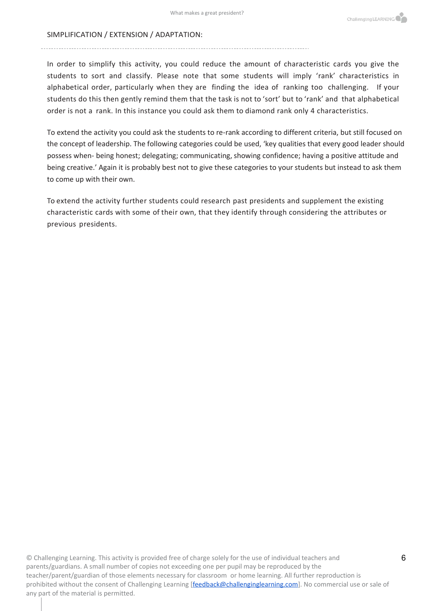#### SIMPLIFICATION / EXTENSION / ADAPTATION:

In order to simplify this activity, you could reduce the amount of characteristic cards you give the students to sort and classify. Please note that some students will imply 'rank' characteristics in alphabetical order, particularly when they are finding the idea of ranking too challenging. If your students do this then gently remind them that the task is not to 'sort' but to 'rank' and that alphabetical order is not a rank. In this instance you could ask them to diamond rank only 4 characteristics.

To extend the activity you could ask the students to re-rank according to different criteria, but still focused on the concept of leadership. The following categories could be used, 'key qualities that every good leader should possess when- being honest; delegating; communicating, showing confidence; having a positive attitude and being creative.' Again it is probably best not to give these categories to your students but instead to ask them to come up with their own.

To extend the activity further students could research past presidents and supplement the existing characteristic cards with some of their own, that they identify through considering the attributes or previous presidents.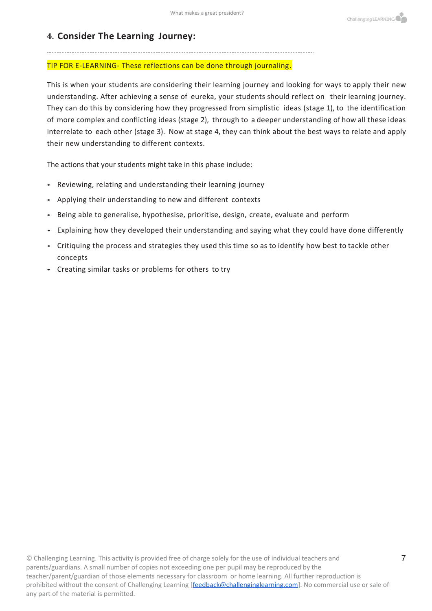#### **4. Consider The Learning Journey:**

#### TIP FOR E-LEARNING- These reflections can be done through journaling.

This is when your students are considering their learning journey and looking for ways to apply their new understanding. After achieving a sense of eureka, your students should reflect on their learning journey. They can do this by considering how they progressed from simplistic ideas (stage 1), to the identification of more complex and conflicting ideas (stage 2), through to a deeper understanding of how all these ideas interrelate to each other (stage 3). Now at stage 4, they can think about the best ways to relate and apply their new understanding to different contexts.

The actions that your students might take in this phase include:

- Reviewing, relating and understanding their learning journey
- Applying their understanding to new and different contexts
- Being able to generalise, hypothesise, prioritise, design, create, evaluate and perform
- Explaining how they developed their understanding and saying what they could have done differently
- Critiquing the process and strategies they used this time so as to identify how best to tackle other concepts
- Creating similar tasks or problems for others to try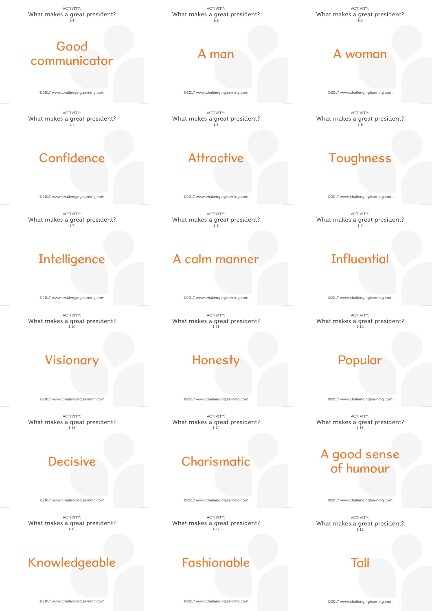ACTIVITY: What makes a great president?  $1 - 1$ 

#### Good communicator

©2017 www.challenginglearning.com

ACTIVITY: What makes a great president? 1-4

#### Confidence

©2017 www.challenginglearning.com

ACTIVITY: What makes a great president? 1-7

#### **Intelligence**

©2017 www.challenginglearning.com

Confidence<br>
EQUIT www.challenginglearning.com<br>
at makes a great president?<br> **Intelligence**<br>
EQUIT www.challenginglearning.com<br>
at makes a great president?<br>
Visionary<br>
at makes a great president?<br>
Decisive<br>
and makes a grea ACTIVITY: What makes a great president? 1-10

#### Visionary

©2017 www.challenginglearning.com

ACTIVITY: What makes a great president? 1-13

#### **Decisive**

©2017 www.challenginglearning.com

ACTIVITY: What makes a great president? 1-16

#### Knowledgeable

ACTIVITY: What makes a great president? 1-2

# A man

©2017 www.challenginglearning.com

ACTIVITY: What makes a great president? 1-5

# **Attractive**

©2017 www.challenginglearning.com

ACTIVITY: What makes a great president? 1-8

#### A calm manner

©2017 www.challenginglearning.com

**Attractive**<br>
POLY www.challenginglearning.com<br>
makes a great preside<br>
COLOM MONICETY<br>
MONESTY<br>
MONESTY<br>
PONESTY<br>
PONESTY<br>
PONESTY<br>
PONESTY<br>
PONESTY<br>
PONESTY<br>
COLY www.challenginglearning.com<br>
MACTIVITY:<br>
makes a great pre ACTIVITY: What makes a great president? 1-11

#### Honesty

©2017 www.challenginglearning.com

ACTIVITY: What makes a great president? 1-14

#### **Charismatic**

©2017 www.challenginglearning.com

ACTIVITY: What makes a great president? 1-17

#### Fashionable

ACTIVITY: What makes a great president? 1-3

#### A woman

©2017 www.challenginglearning.com

ACTIVITY: What makes a great president? 1-6

#### Toughness

©2017 www.challenginglearning.com

ACTIVITY: What makes a great president? 1-9

# **Influential**

©2017 www.challenginglearning.com

ACTIVITY: What makes a great president? 1-12

#### Popular

©2017 www.challenginglearning.com

Popular<br>
Popular<br>
Pactivity:<br>
Popular<br>
Popular<br>
Popular<br>
Popular<br>
Popular<br>
Popular<br>
Popular<br>
Popular<br>
Popular<br>
Popular<br>
Popular<br>
Popular<br>
Popular<br>
Popular<br>
Popular<br>
Popular<br>
Popular<br>
Popular<br>
Popular<br>
Popular<br>
Popular<br>
Pop ACTIVITY: What makes a great president? 1-15

# of humour

©2017 www.challenginglearning.com

ACTIVITY: What makes a great president?  $1 - 18$ 

Tall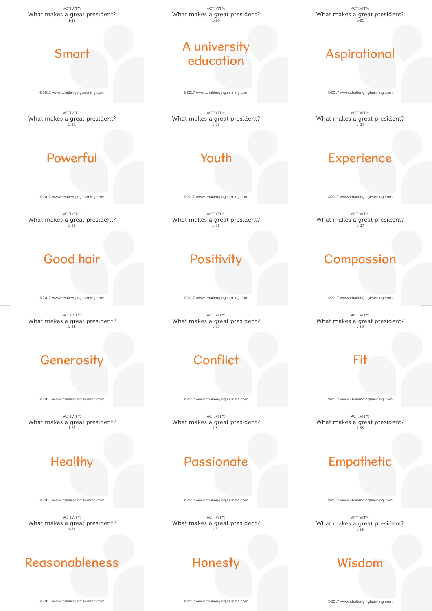ACTIVITY: What makes a great president?  $1 - 19$ 

#### Smart

©2017 www.challenginglearning.com

ACTIVITY: What makes a great president? 1-22

# Powerful

©2017 www.challenginglearning.com

ACTIVITY: What makes a great president?  $-25$ 

# Good hair

©2017 www.challenginglearning.com

ACTIVITY: What makes a great president? 1-28

# **Generosity**

©2017 www.challenginglearning.com

ACTIVITY: What makes a great president? 1-31

#### **Healthy**

©2017 www.challenginglearning.com

ACTIVITY: What makes a great president? 1-34

#### Reasonableness

ACTIVITY: What makes a great president?  $1 - 20$ 

## A university education

©2017 www.challenginglearning.com

ACTIVITY: What makes a great president? 1-23

# Youth

©2017 www.challenginglearning.com

ACTIVITY: What makes a great president? 1-26

# Positivity

©2017 www.challenginglearning.com

ACTIVITY: What makes a great president? 1-29

# **Conflict**

©2017 www.challenginglearning.com

ACTIVITY: What makes a great president? 1-32

#### **Passionate**

©2017 www.challenginglearning.com

ACTIVITY: What makes a great president? 1-35

#### **Honesty**

ACTIVITY: What makes a great president?  $1 - 21$ 

# Aspirational

©2017 www.challenginglearning.com

ACTIVITY: What makes a great president? 1-24

# **Experience**

©2017 www.challenginglearning.com

ACTIVITY: What makes a great president? 1-27

# **Compassion**

©2017 www.challenginglearning.com

ACTIVITY: What makes a great president? 1-30

#### Fit

©2017 www.challenginglearning.com

ACTIVITY: What makes a great president? 1-33

#### **Empathetic**

©2017 www.challenginglearning.com

ACTIVITY: What makes a great president? 1-36

#### Wisdom

©2017 www.challenginglearning.com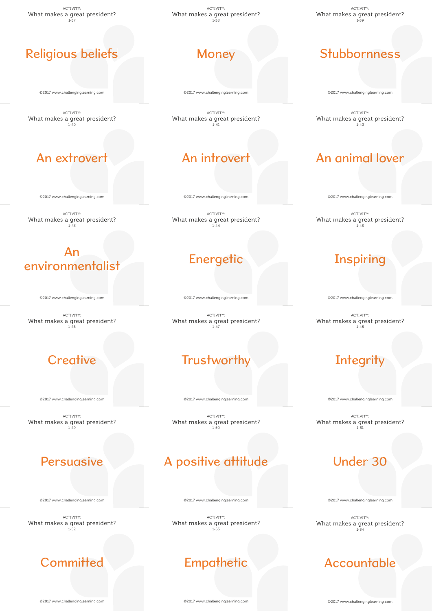ACTIVITY: What makes a great president?  $1 - 37$ 

#### Religious beliefs belief

©2017 www.challenginglearning.com

ACTIVITY: What makes a great president? 1-40

## An extrovert

©2017 www.challenginglearning.com

xtrovert<br>
Challenginglearning.com<br>
ACTIVITY:<br>
Sa great preside<br>
1-43<br>
An ACTIVITY: What makes a great president?  $-1 - 43$ 

# environmentalist ronmentalist<br>
HI<sup>7</sup> www.challenginglearning.com<br>
ACTIVITY:<br>
nakes a great president?<br> **Creative** Suassemannian and the content<br>of the subsection of the content of the content of the content of the content of the content of the content of the content of the content of the content of the content of the content of the co

©2017 www.challenginglearning.com

ACTIVITY: What makes a great president? 1-46

©2017 www.challenginglearning.com

Creative<br>
Papazz www.challenginglearning.com<br>
t makes a great preside<br>
Persuasive ACTIVITY: What makes a great president? 1-49

©2017 www.challenginglearning.com

ACTIVITY: What makes a great president? 1-52

#### **Committed**

ACTIVITY: What makes a great president?  $1 - 38$ 

©2017 www.challenginglearning.com

ACTIVITY: What makes a great president? 1-41

## An introvert

©2017 www.challenginglearning.com

ACTIVITY: What makes a great president? .<br>1-44

#### **Energetic**

©2017 www.challenginglearning.com

ACTIVITY: What makes a great president? 1-47

#### **Trustworthy**

©2017 www.challenginglearning.com

ACTIVITY: What makes a great president? 1-50

#### A positive attitude

©2017 www.challenginglearning.com

ACTIVITY: What makes a great president? 1-53

#### **Empathetic**

ACTIVITY: What makes a great president? 1-39

©2017 www.challenginglearning.com

ACTIVITY: What makes a great president? 1-42

#### An animal lover

©2017 www.challenginglearning.com

ACTIVITY: What makes a great president? 1-45

# Inspiring

©2017 www.challenginglearning.com

ACTIVITY: What makes a great president? 1-48

#### **Integrity**

©2017 www.challenginglearning.com

entrantial control to the control of the control of the control of the control of the control of the control of the control of the control of the control of the control of the control of the control of the control of the c ACTIVITY: What makes a great president? 1-51

#### Under 30

©2017 www.challenginglearning.com

ACTIVITY: What makes a great president? 1-54

#### Accountable

©2017 www.challenginglearning.com

©2017 www.challenginglearning.com